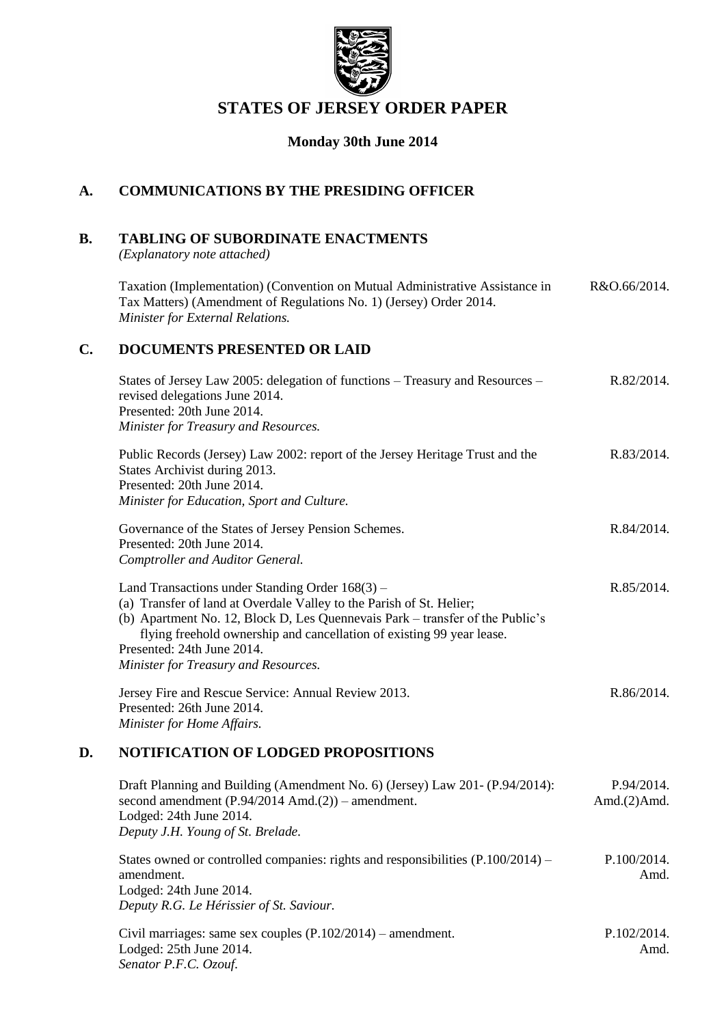

# **STATES OF JERSEY ORDER PAPER**

## **Monday 30th June 2014**

# **A. COMMUNICATIONS BY THE PRESIDING OFFICER**

# **B. TABLING OF SUBORDINATE ENACTMENTS**

*(Explanatory note attached)*

Taxation (Implementation) (Convention on Mutual Administrative Assistance in Tax Matters) (Amendment of Regulations No. 1) (Jersey) Order 2014. *Minister for External Relations.* R&O.66/2014.

## **C. DOCUMENTS PRESENTED OR LAID**

| States of Jersey Law 2005: delegation of functions – Treasury and Resources –<br>revised delegations June 2014.<br>Presented: 20th June 2014.<br>Minister for Treasury and Resources.                                                                                                                                                                   | R.82/2014. |
|---------------------------------------------------------------------------------------------------------------------------------------------------------------------------------------------------------------------------------------------------------------------------------------------------------------------------------------------------------|------------|
| Public Records (Jersey) Law 2002: report of the Jersey Heritage Trust and the<br>States Archivist during 2013.<br>Presented: 20th June 2014.<br>Minister for Education, Sport and Culture.                                                                                                                                                              | R.83/2014. |
| Governance of the States of Jersey Pension Schemes.<br>Presented: 20th June 2014.<br>Comptroller and Auditor General.                                                                                                                                                                                                                                   | R.84/2014. |
| Land Transactions under Standing Order 168(3) –<br>(a) Transfer of land at Overdale Valley to the Parish of St. Helier;<br>(b) Apartment No. 12, Block D, Les Quennevais Park – transfer of the Public's<br>flying freehold ownership and cancellation of existing 99 year lease.<br>Presented: 24th June 2014.<br>Minister for Treasury and Resources. | R.85/2014. |
| Jersey Fire and Rescue Service: Annual Review 2013.<br>Presented: 26th June 2014.<br>Minister for Home Affairs.                                                                                                                                                                                                                                         | R.86/2014. |

## **D. NOTIFICATION OF LODGED PROPOSITIONS**

| Draft Planning and Building (Amendment No. 6) (Jersey) Law 201- (P.94/2014):       | P.94/2014.      |
|------------------------------------------------------------------------------------|-----------------|
| second amendment $(P.94/2014 \text{ Amd.}(2))$ – amendment.                        | Amd. $(2)$ Amd. |
| Lodged: 24th June 2014.                                                            |                 |
| Deputy J.H. Young of St. Brelade.                                                  |                 |
|                                                                                    |                 |
| States owned or controlled companies: rights and responsibilities $(P.100/2014)$ – | P.100/2014.     |
| amendment.                                                                         | Amd.            |
| Lodged: 24th June 2014.                                                            |                 |
| Deputy R.G. Le Hérissier of St. Saviour.                                           |                 |

| Civil marriages: same sex couples $(P.102/2014)$ – amendment. | P.102/2014. |
|---------------------------------------------------------------|-------------|
| Lodged: 25th June 2014.                                       | Amd.        |
| Senator P.F.C. Ozouf.                                         |             |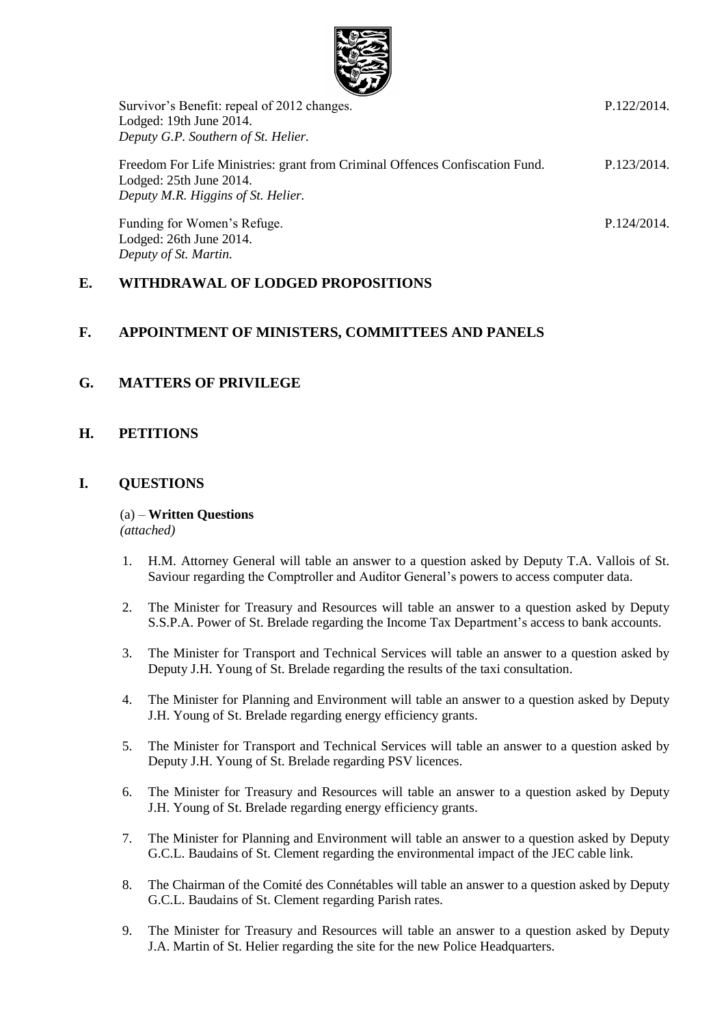

| Survivor's Benefit: repeal of 2012 changes.                                                                                                   | P.122/2014. |
|-----------------------------------------------------------------------------------------------------------------------------------------------|-------------|
| Lodged: 19th June 2014.                                                                                                                       |             |
| Deputy G.P. Southern of St. Helier.                                                                                                           |             |
| Freedom For Life Ministries: grant from Criminal Offences Confiscation Fund.<br>Lodged: 25th June 2014.<br>Deputy M.R. Higgins of St. Helier. | P.123/2014. |
| Funding for Women's Refuge.<br>Lodged: 26th June 2014.                                                                                        | P.124/2014. |

## **E. WITHDRAWAL OF LODGED PROPOSITIONS**

#### **F. APPOINTMENT OF MINISTERS, COMMITTEES AND PANELS**

## **G. MATTERS OF PRIVILEGE**

*Deputy of St. Martin.*

#### **H. PETITIONS**

#### **I. QUESTIONS**

# (a) – **Written Questions**

*(attached)*

- 1. H.M. Attorney General will table an answer to a question asked by Deputy T.A. Vallois of St. Saviour regarding the Comptroller and Auditor General's powers to access computer data.
- 2. The Minister for Treasury and Resources will table an answer to a question asked by Deputy S.S.P.A. Power of St. Brelade regarding the Income Tax Department's access to bank accounts.
- 3. The Minister for Transport and Technical Services will table an answer to a question asked by Deputy J.H. Young of St. Brelade regarding the results of the taxi consultation.
- 4. The Minister for Planning and Environment will table an answer to a question asked by Deputy J.H. Young of St. Brelade regarding energy efficiency grants.
- 5. The Minister for Transport and Technical Services will table an answer to a question asked by Deputy J.H. Young of St. Brelade regarding PSV licences.
- 6. The Minister for Treasury and Resources will table an answer to a question asked by Deputy J.H. Young of St. Brelade regarding energy efficiency grants.
- 7. The Minister for Planning and Environment will table an answer to a question asked by Deputy G.C.L. Baudains of St. Clement regarding the environmental impact of the JEC cable link.
- 8. The Chairman of the Comité des Connétables will table an answer to a question asked by Deputy G.C.L. Baudains of St. Clement regarding Parish rates.
- 9. The Minister for Treasury and Resources will table an answer to a question asked by Deputy J.A. Martin of St. Helier regarding the site for the new Police Headquarters.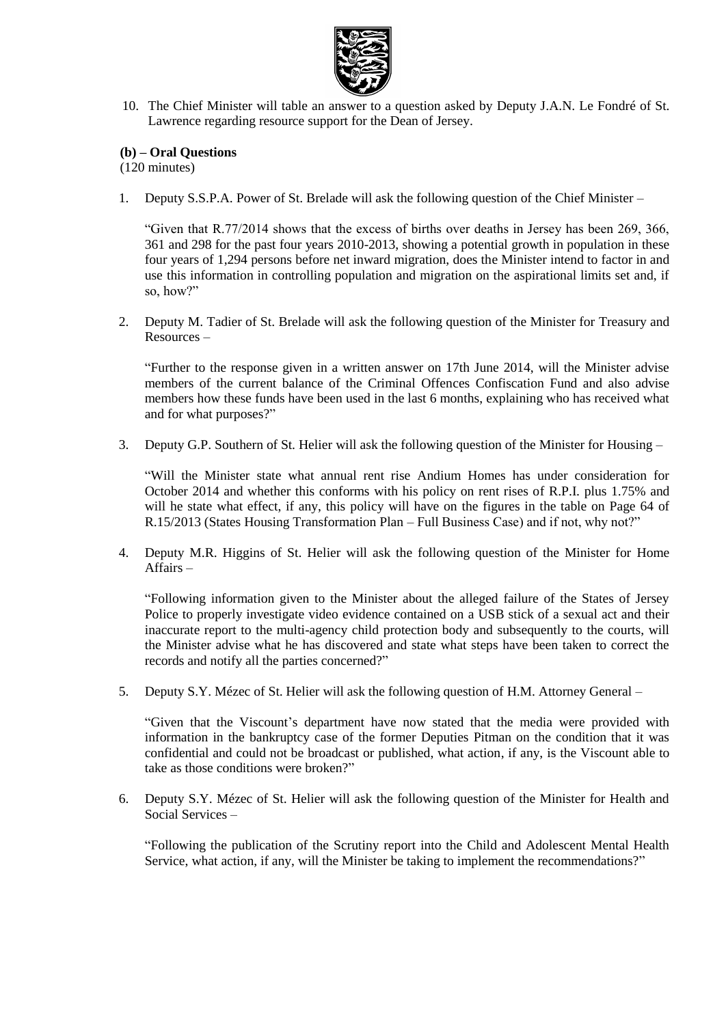

10. The Chief Minister will table an answer to a question asked by Deputy J.A.N. Le Fondré of St. Lawrence regarding resource support for the Dean of Jersey.

#### **(b) – Oral Questions**

(120 minutes)

1. Deputy S.S.P.A. Power of St. Brelade will ask the following question of the Chief Minister –

"Given that R.77/2014 shows that the excess of births over deaths in Jersey has been 269, 366, 361 and 298 for the past four years 2010-2013, showing a potential growth in population in these four years of 1,294 persons before net inward migration, does the Minister intend to factor in and use this information in controlling population and migration on the aspirational limits set and, if so, how?"

2. Deputy M. Tadier of St. Brelade will ask the following question of the Minister for Treasury and Resources –

"Further to the response given in a written answer on 17th June 2014, will the Minister advise members of the current balance of the Criminal Offences Confiscation Fund and also advise members how these funds have been used in the last 6 months, explaining who has received what and for what purposes?"

3. Deputy G.P. Southern of St. Helier will ask the following question of the Minister for Housing –

"Will the Minister state what annual rent rise Andium Homes has under consideration for October 2014 and whether this conforms with his policy on rent rises of R.P.I. plus 1.75% and will he state what effect, if any, this policy will have on the figures in the table on Page 64 of R.15/2013 (States Housing Transformation Plan – Full Business Case) and if not, why not?"

4. Deputy M.R. Higgins of St. Helier will ask the following question of the Minister for Home Affairs –

"Following information given to the Minister about the alleged failure of the States of Jersey Police to properly investigate video evidence contained on a USB stick of a sexual act and their inaccurate report to the multi-agency child protection body and subsequently to the courts, will the Minister advise what he has discovered and state what steps have been taken to correct the records and notify all the parties concerned?"

5. Deputy S.Y. Mézec of St. Helier will ask the following question of H.M. Attorney General –

"Given that the Viscount's department have now stated that the media were provided with information in the bankruptcy case of the former Deputies Pitman on the condition that it was confidential and could not be broadcast or published, what action, if any, is the Viscount able to take as those conditions were broken?"

6. Deputy S.Y. Mézec of St. Helier will ask the following question of the Minister for Health and Social Services –

"Following the publication of the Scrutiny report into the Child and Adolescent Mental Health Service, what action, if any, will the Minister be taking to implement the recommendations?"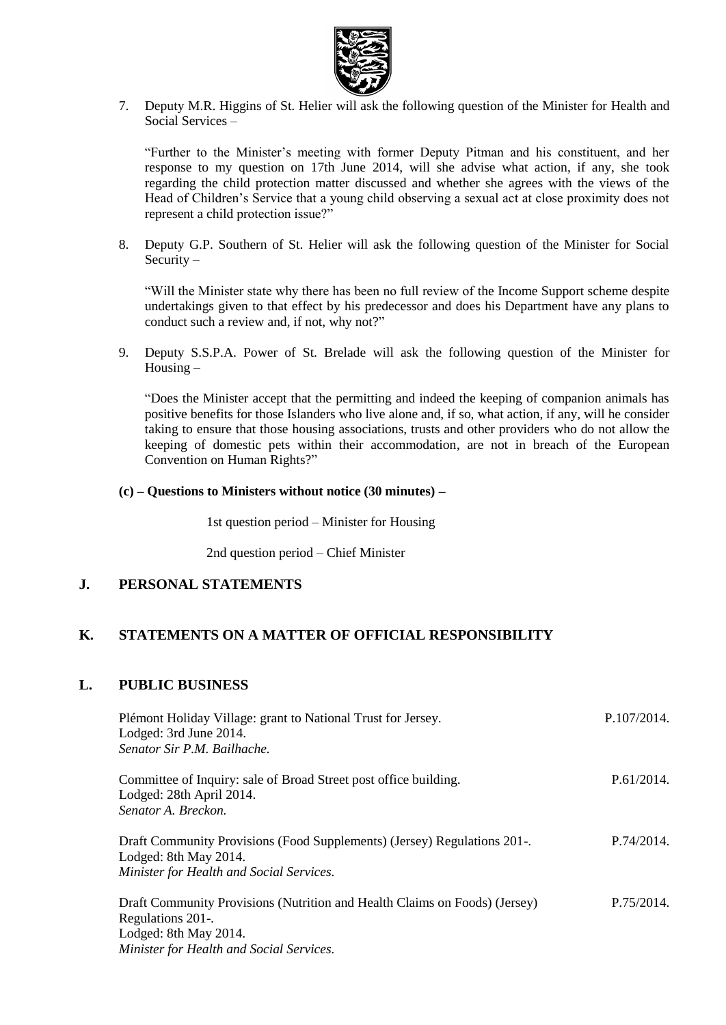

7. Deputy M.R. Higgins of St. Helier will ask the following question of the Minister for Health and Social Services –

"Further to the Minister's meeting with former Deputy Pitman and his constituent, and her response to my question on 17th June 2014, will she advise what action, if any, she took regarding the child protection matter discussed and whether she agrees with the views of the Head of Children's Service that a young child observing a sexual act at close proximity does not represent a child protection issue?"

8. Deputy G.P. Southern of St. Helier will ask the following question of the Minister for Social Security –

"Will the Minister state why there has been no full review of the Income Support scheme despite undertakings given to that effect by his predecessor and does his Department have any plans to conduct such a review and, if not, why not?"

9. Deputy S.S.P.A. Power of St. Brelade will ask the following question of the Minister for Housing –

"Does the Minister accept that the permitting and indeed the keeping of companion animals has positive benefits for those Islanders who live alone and, if so, what action, if any, will he consider taking to ensure that those housing associations, trusts and other providers who do not allow the keeping of domestic pets within their accommodation, are not in breach of the European Convention on Human Rights?"

**(c) – Questions to Ministers without notice (30 minutes) –**

1st question period – Minister for Housing

2nd question period – Chief Minister

#### **J. PERSONAL STATEMENTS**

## **K. STATEMENTS ON A MATTER OF OFFICIAL RESPONSIBILITY**

#### **L. PUBLIC BUSINESS**

| Plémont Holiday Village: grant to National Trust for Jersey.<br>Lodged: 3rd June 2014.<br>Senator Sir P.M. Bailhache. | P.107/2014. |
|-----------------------------------------------------------------------------------------------------------------------|-------------|
| Committee of Inquiry: sale of Broad Street post office building.<br>Lodged: 28th April 2014.                          | P.61/2014.  |
| Senator A. Breckon.                                                                                                   |             |
| Draft Community Provisions (Food Supplements) (Jersey) Regulations 201-.<br>Lodged: 8th May 2014.                     | P.74/2014.  |
| Minister for Health and Social Services.                                                                              |             |
| Draft Community Provisions (Nutrition and Health Claims on Foods) (Jersey)<br>Regulations 201-.                       | P.75/2014.  |
| Lodged: 8th May 2014.                                                                                                 |             |
| Minister for Health and Social Services.                                                                              |             |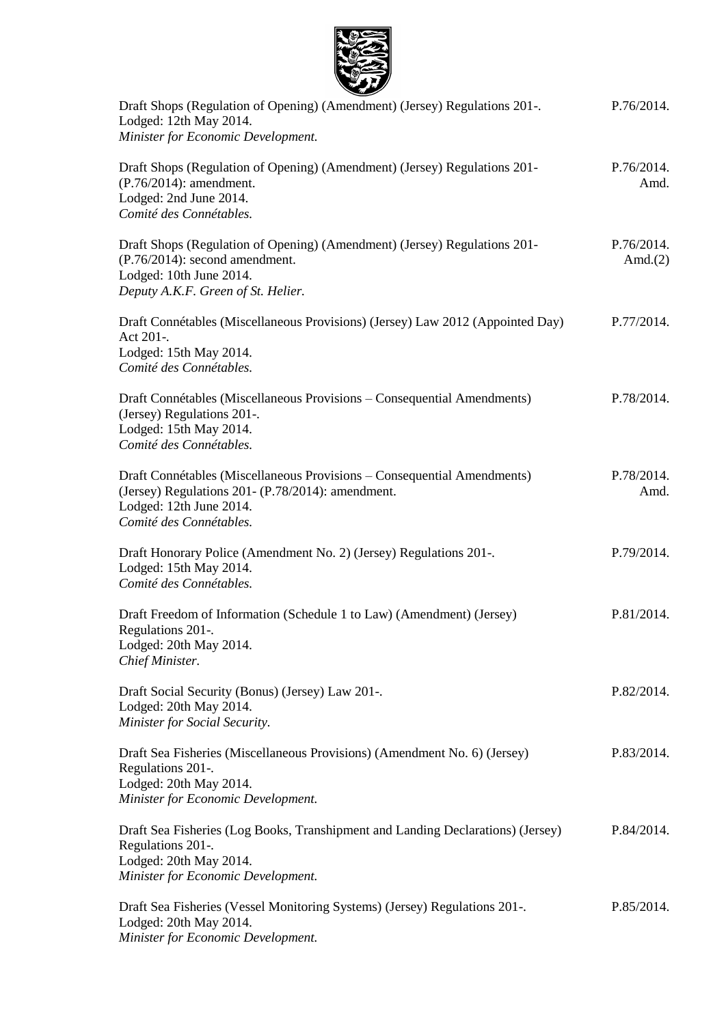

| $\sim$ $\sim$                                                                                                                                                                      |                          |
|------------------------------------------------------------------------------------------------------------------------------------------------------------------------------------|--------------------------|
| Draft Shops (Regulation of Opening) (Amendment) (Jersey) Regulations 201-.<br>Lodged: 12th May 2014.<br>Minister for Economic Development.                                         | P.76/2014.               |
| Draft Shops (Regulation of Opening) (Amendment) (Jersey) Regulations 201-<br>$(P.76/2014)$ : amendment.<br>Lodged: 2nd June 2014.<br>Comité des Connétables.                       | P.76/2014.<br>Amd.       |
| Draft Shops (Regulation of Opening) (Amendment) (Jersey) Regulations 201-<br>(P.76/2014): second amendment.<br>Lodged: 10th June 2014.<br>Deputy A.K.F. Green of St. Helier.       | P.76/2014.<br>Amd. $(2)$ |
| Draft Connétables (Miscellaneous Provisions) (Jersey) Law 2012 (Appointed Day)<br>Act 201-.<br>Lodged: 15th May 2014.<br>Comité des Connétables.                                   | P.77/2014.               |
| Draft Connétables (Miscellaneous Provisions – Consequential Amendments)<br>(Jersey) Regulations 201-.<br>Lodged: 15th May 2014.<br>Comité des Connétables.                         | P.78/2014.               |
| Draft Connétables (Miscellaneous Provisions – Consequential Amendments)<br>(Jersey) Regulations 201- (P.78/2014): amendment.<br>Lodged: 12th June 2014.<br>Comité des Connétables. | P.78/2014.<br>Amd.       |
| Draft Honorary Police (Amendment No. 2) (Jersey) Regulations 201-.<br>Lodged: 15th May 2014.<br>Comité des Connétables.                                                            | P.79/2014.               |
| Draft Freedom of Information (Schedule 1 to Law) (Amendment) (Jersey)<br>Regulations 201-.<br>Lodged: 20th May 2014.<br>Chief Minister.                                            | P.81/2014.               |
| Draft Social Security (Bonus) (Jersey) Law 201-.<br>Lodged: 20th May 2014.<br>Minister for Social Security.                                                                        | P.82/2014.               |
| Draft Sea Fisheries (Miscellaneous Provisions) (Amendment No. 6) (Jersey)<br>Regulations 201-.<br>Lodged: 20th May 2014.<br>Minister for Economic Development.                     | P.83/2014.               |
| Draft Sea Fisheries (Log Books, Transhipment and Landing Declarations) (Jersey)<br>Regulations 201-.<br>Lodged: 20th May 2014.<br>Minister for Economic Development.               | P.84/2014.               |
| Draft Sea Fisheries (Vessel Monitoring Systems) (Jersey) Regulations 201-.<br>Lodged: 20th May 2014.<br>Minister for Economic Development.                                         | P.85/2014.               |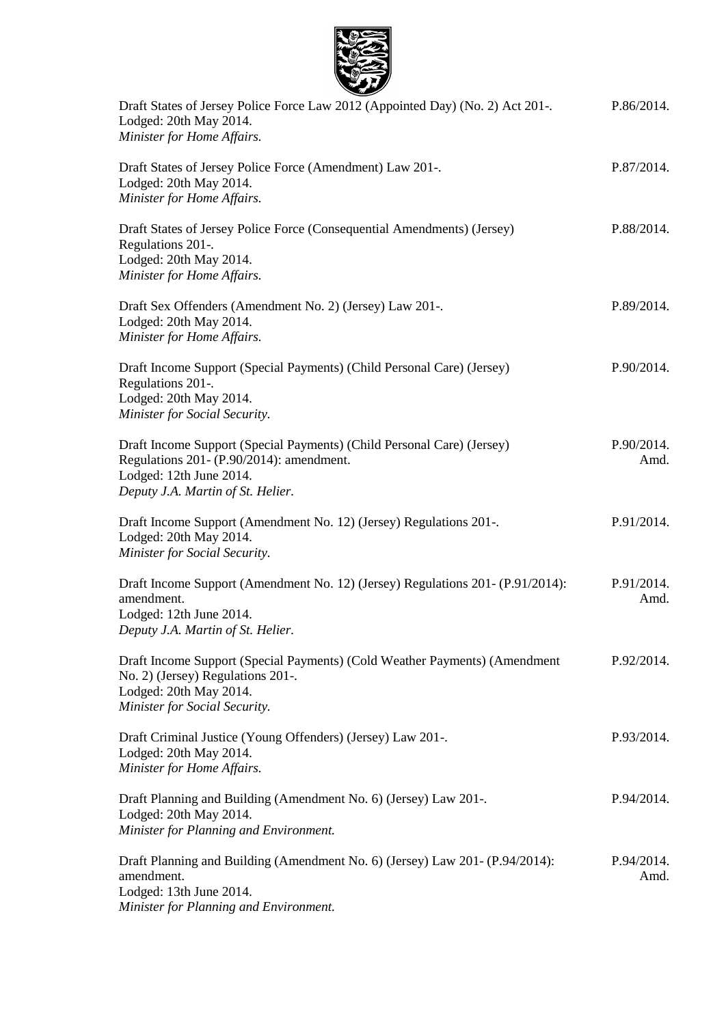

| Draft States of Jersey Police Force Law 2012 (Appointed Day) (No. 2) Act 201-.<br>Lodged: 20th May 2014.<br>Minister for Home Affairs.                                             | P.86/2014.         |
|------------------------------------------------------------------------------------------------------------------------------------------------------------------------------------|--------------------|
| Draft States of Jersey Police Force (Amendment) Law 201-.<br>Lodged: 20th May 2014.<br>Minister for Home Affairs.                                                                  | P.87/2014.         |
| Draft States of Jersey Police Force (Consequential Amendments) (Jersey)<br>Regulations 201-.<br>Lodged: 20th May 2014.<br>Minister for Home Affairs.                               | P.88/2014.         |
| Draft Sex Offenders (Amendment No. 2) (Jersey) Law 201-.<br>Lodged: 20th May 2014.<br>Minister for Home Affairs.                                                                   | P.89/2014.         |
| Draft Income Support (Special Payments) (Child Personal Care) (Jersey)<br>Regulations 201-.<br>Lodged: 20th May 2014.<br>Minister for Social Security.                             | P.90/2014.         |
| Draft Income Support (Special Payments) (Child Personal Care) (Jersey)<br>Regulations 201- (P.90/2014): amendment.<br>Lodged: 12th June 2014.<br>Deputy J.A. Martin of St. Helier. | P.90/2014.<br>Amd. |
| Draft Income Support (Amendment No. 12) (Jersey) Regulations 201-.<br>Lodged: 20th May 2014.<br>Minister for Social Security.                                                      | P.91/2014.         |
| Draft Income Support (Amendment No. 12) (Jersey) Regulations 201 - (P.91/2014):<br>amendment.<br>Lodged: 12th June 2014.<br>Deputy J.A. Martin of St. Helier.                      | P.91/2014.<br>Amd. |
| Draft Income Support (Special Payments) (Cold Weather Payments) (Amendment<br>No. 2) (Jersey) Regulations 201-.<br>Lodged: 20th May 2014.<br>Minister for Social Security.         | P.92/2014.         |
| Draft Criminal Justice (Young Offenders) (Jersey) Law 201-.<br>Lodged: 20th May 2014.<br>Minister for Home Affairs.                                                                | P.93/2014.         |
| Draft Planning and Building (Amendment No. 6) (Jersey) Law 201-.<br>Lodged: 20th May 2014.<br>Minister for Planning and Environment.                                               | P.94/2014.         |
| Draft Planning and Building (Amendment No. 6) (Jersey) Law 201- (P.94/2014):<br>amendment.<br>Lodged: 13th June 2014.<br>Minister for Planning and Environment.                    | P.94/2014.<br>Amd. |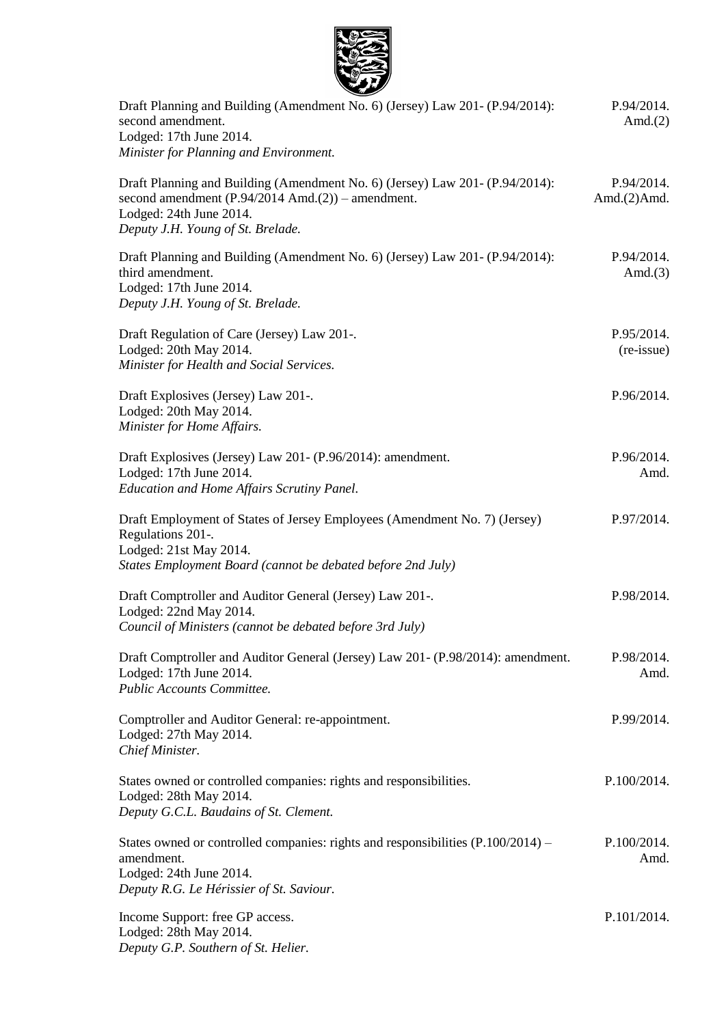

| Draft Planning and Building (Amendment No. 6) (Jersey) Law 201- (P.94/2014):<br>second amendment.<br>Lodged: 17th June 2014.<br>Minister for Planning and Environment.                                      | P.94/2014.<br>Amd. $(2)$      |
|-------------------------------------------------------------------------------------------------------------------------------------------------------------------------------------------------------------|-------------------------------|
| Draft Planning and Building (Amendment No. 6) (Jersey) Law 201- (P.94/2014):<br>second amendment $(P.94/2014 \text{ Amd.}(2))$ – amendment.<br>Lodged: 24th June 2014.<br>Deputy J.H. Young of St. Brelade. | P.94/2014.<br>Amd. $(2)$ Amd. |
| Draft Planning and Building (Amendment No. 6) (Jersey) Law 201- (P.94/2014):<br>third amendment.<br>Lodged: 17th June 2014.<br>Deputy J.H. Young of St. Brelade.                                            | P.94/2014.<br>Amd. $(3)$      |
| Draft Regulation of Care (Jersey) Law 201-.<br>Lodged: 20th May 2014.<br>Minister for Health and Social Services.                                                                                           | P.95/2014.<br>(re-issue)      |
| Draft Explosives (Jersey) Law 201-.<br>Lodged: 20th May 2014.<br>Minister for Home Affairs.                                                                                                                 | P.96/2014.                    |
| Draft Explosives (Jersey) Law 201- (P.96/2014): amendment.<br>Lodged: 17th June 2014.<br>Education and Home Affairs Scrutiny Panel.                                                                         | P.96/2014.<br>Amd.            |
| Draft Employment of States of Jersey Employees (Amendment No. 7) (Jersey)<br>Regulations 201-.<br>Lodged: 21st May 2014.<br>States Employment Board (cannot be debated before 2nd July)                     | P.97/2014.                    |
| Draft Comptroller and Auditor General (Jersey) Law 201-.<br>Lodged: 22nd May 2014.<br>Council of Ministers (cannot be debated before 3rd July)                                                              | P.98/2014.                    |
| Draft Comptroller and Auditor General (Jersey) Law 201- (P.98/2014): amendment.<br>Lodged: 17th June 2014.<br>Public Accounts Committee.                                                                    | P.98/2014.<br>Amd.            |
| Comptroller and Auditor General: re-appointment.<br>Lodged: 27th May 2014.<br>Chief Minister.                                                                                                               | P.99/2014.                    |
| States owned or controlled companies: rights and responsibilities.<br>Lodged: 28th May 2014.<br>Deputy G.C.L. Baudains of St. Clement.                                                                      | P.100/2014.                   |
| States owned or controlled companies: rights and responsibilities $(P.100/2014)$ –<br>amendment.<br>Lodged: 24th June 2014.<br>Deputy R.G. Le Hérissier of St. Saviour.                                     | P.100/2014.<br>Amd.           |
| Income Support: free GP access.<br>Lodged: 28th May 2014.<br>Deputy G.P. Southern of St. Helier.                                                                                                            | P.101/2014.                   |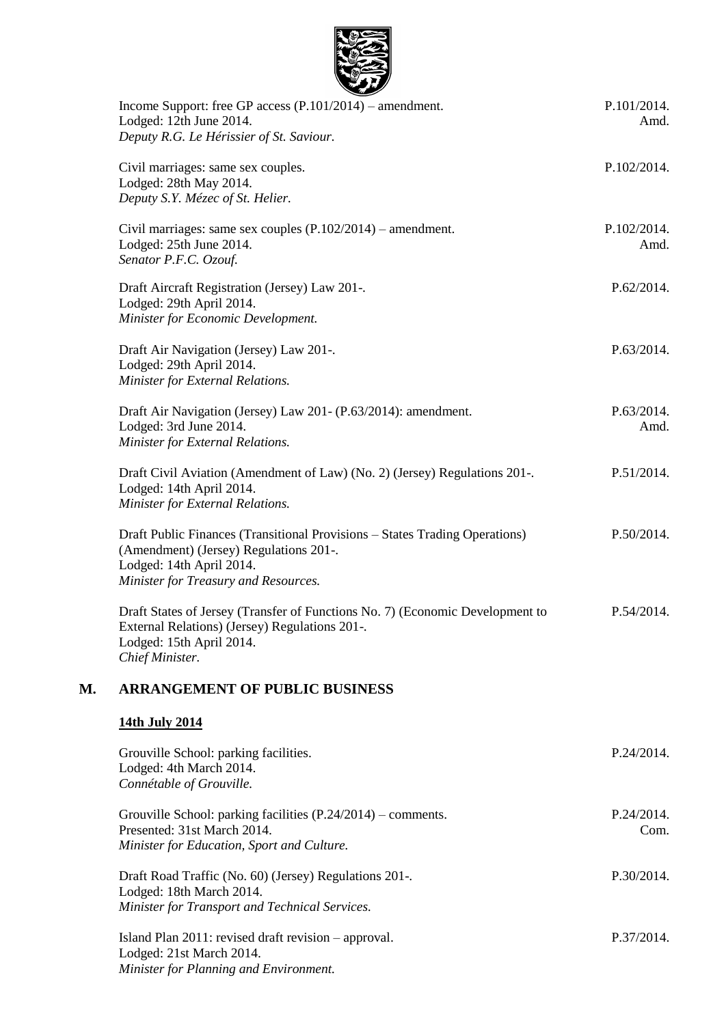

|    | Income Support: free GP access (P.101/2014) – amendment.<br>Lodged: 12th June 2014.<br>Deputy R.G. Le Hérissier of St. Saviour.                                                           | P.101/2014.<br>Amd. |
|----|-------------------------------------------------------------------------------------------------------------------------------------------------------------------------------------------|---------------------|
|    | Civil marriages: same sex couples.<br>Lodged: 28th May 2014.<br>Deputy S.Y. Mézec of St. Helier.                                                                                          | P.102/2014.         |
|    | Civil marriages: same sex couples $(P.102/2014)$ – amendment.<br>Lodged: 25th June 2014.<br>Senator P.F.C. Ozouf.                                                                         | P.102/2014.<br>Amd. |
|    | Draft Aircraft Registration (Jersey) Law 201-.<br>Lodged: 29th April 2014.<br>Minister for Economic Development.                                                                          | P.62/2014.          |
|    | Draft Air Navigation (Jersey) Law 201-.<br>Lodged: 29th April 2014.<br>Minister for External Relations.                                                                                   | P.63/2014.          |
|    | Draft Air Navigation (Jersey) Law 201- (P.63/2014): amendment.<br>Lodged: 3rd June 2014.<br>Minister for External Relations.                                                              | P.63/2014.<br>Amd.  |
|    | Draft Civil Aviation (Amendment of Law) (No. 2) (Jersey) Regulations 201-.<br>Lodged: 14th April 2014.<br>Minister for External Relations.                                                | P.51/2014.          |
|    | Draft Public Finances (Transitional Provisions - States Trading Operations)<br>(Amendment) (Jersey) Regulations 201-.<br>Lodged: 14th April 2014.<br>Minister for Treasury and Resources. | P.50/2014.          |
|    | Draft States of Jersey (Transfer of Functions No. 7) (Economic Development to<br>External Relations) (Jersey) Regulations 201-.<br>Lodged: 15th April 2014.<br>Chief Minister.            | P.54/2014.          |
| М. | <b>ARRANGEMENT OF PUBLIC BUSINESS</b>                                                                                                                                                     |                     |
|    | 14th July 2014                                                                                                                                                                            |                     |
|    | Grouville School: parking facilities.<br>Lodged: 4th March 2014.<br>Connétable of Grouville.                                                                                              | P.24/2014.          |
|    | Grouville School: parking facilities (P.24/2014) - comments.<br>Presented: 31st March 2014.<br>Minister for Education, Sport and Culture.                                                 | P.24/2014.<br>Com.  |
|    | Draft Road Traffic (No. 60) (Jersey) Regulations 201-.<br>Lodged: 18th March 2014.<br>Minister for Transport and Technical Services.                                                      | P.30/2014.          |
|    | Island Plan 2011: revised draft revision – approval.<br>Lodged: 21st March 2014.                                                                                                          | P.37/2014.          |

*Minister for Planning and Environment.*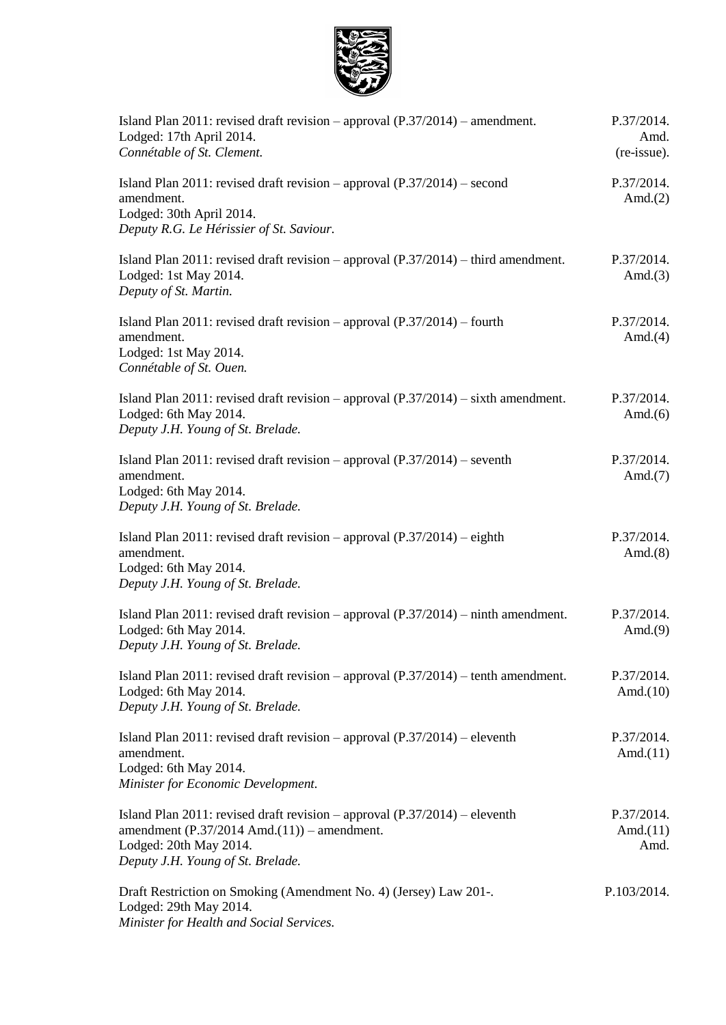

| Island Plan 2011: revised draft revision - approval (P.37/2014) - amendment.<br>Lodged: 17th April 2014.<br>Connétable of St. Clement.                                                               | P.37/2014.<br>Amd.<br>(re-issue). |
|------------------------------------------------------------------------------------------------------------------------------------------------------------------------------------------------------|-----------------------------------|
| Island Plan 2011: revised draft revision – approval $(P.37/2014)$ – second<br>amendment.<br>Lodged: 30th April 2014.<br>Deputy R.G. Le Hérissier of St. Saviour.                                     | P.37/2014.<br>Amd. $(2)$          |
| Island Plan 2011: revised draft revision – approval $(P.37/2014)$ – third amendment.<br>Lodged: 1st May 2014.<br>Deputy of St. Martin.                                                               | P.37/2014.<br>Amd. $(3)$          |
| Island Plan 2011: revised draft revision – approval $(P.37/2014)$ – fourth<br>amendment.<br>Lodged: 1st May 2014.<br>Connétable of St. Ouen.                                                         | P.37/2014.<br>Amd. $(4)$          |
| Island Plan 2011: revised draft revision – approval $(P.37/2014)$ – sixth amendment.<br>Lodged: 6th May 2014.<br>Deputy J.H. Young of St. Brelade.                                                   | P.37/2014.<br>Amd. $(6)$          |
| Island Plan 2011: revised draft revision – approval $(P.37/2014)$ – seventh<br>amendment.<br>Lodged: 6th May 2014.<br>Deputy J.H. Young of St. Brelade.                                              | P.37/2014.<br>Amd. $(7)$          |
| Island Plan 2011: revised draft revision – approval $(P.37/2014)$ – eighth<br>amendment.<br>Lodged: 6th May 2014.<br>Deputy J.H. Young of St. Brelade.                                               | P.37/2014.<br>Amd. $(8)$          |
| Island Plan 2011: revised draft revision – approval $(P.37/2014)$ – ninth amendment.<br>Lodged: 6th May 2014.<br>Deputy J.H. Young of St. Brelade.                                                   | P.37/2014.<br>Amd. $(9)$          |
| Island Plan $2011$ : revised draft revision – approval $(P.37/2014)$ – tenth amendment.<br>Lodged: 6th May 2014.<br>Deputy J.H. Young of St. Brelade.                                                | P.37/2014.<br>Amd. $(10)$         |
| Island Plan 2011: revised draft revision – approval $(P.37/2014)$ – eleventh<br>amendment.<br>Lodged: 6th May 2014.<br>Minister for Economic Development.                                            | P.37/2014.<br>Amd. $(11)$         |
| Island Plan 2011: revised draft revision – approval $(P.37/2014)$ – eleventh<br>amendment $(P.37/2014 \text{ Amd.}(11))$ – amendment.<br>Lodged: 20th May 2014.<br>Deputy J.H. Young of St. Brelade. | P.37/2014.<br>Amd. $(11)$<br>Amd. |
| Draft Restriction on Smoking (Amendment No. 4) (Jersey) Law 201-.<br>Lodged: 29th May 2014.<br>Minister for Health and Social Services.                                                              | P.103/2014.                       |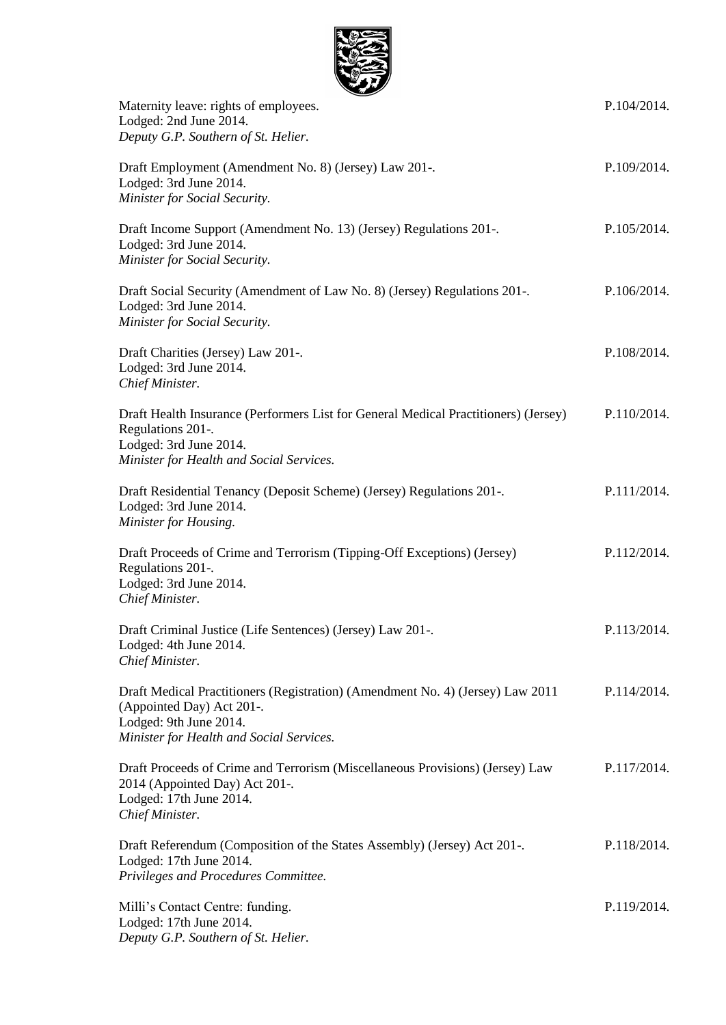

| <u>sa Li</u><br>Maternity leave: rights of employees.<br>Lodged: 2nd June 2014.<br>Deputy G.P. Southern of St. Helier.                                                            | P.104/2014. |
|-----------------------------------------------------------------------------------------------------------------------------------------------------------------------------------|-------------|
| Draft Employment (Amendment No. 8) (Jersey) Law 201-.<br>Lodged: 3rd June 2014.<br>Minister for Social Security.                                                                  | P.109/2014. |
| Draft Income Support (Amendment No. 13) (Jersey) Regulations 201-.<br>Lodged: 3rd June 2014.<br>Minister for Social Security.                                                     | P.105/2014. |
| Draft Social Security (Amendment of Law No. 8) (Jersey) Regulations 201-.<br>Lodged: 3rd June 2014.<br>Minister for Social Security.                                              | P.106/2014. |
| Draft Charities (Jersey) Law 201-.<br>Lodged: 3rd June 2014.<br>Chief Minister.                                                                                                   | P.108/2014. |
| Draft Health Insurance (Performers List for General Medical Practitioners) (Jersey)<br>Regulations 201-.<br>Lodged: 3rd June 2014.<br>Minister for Health and Social Services.    | P.110/2014. |
| Draft Residential Tenancy (Deposit Scheme) (Jersey) Regulations 201-.<br>Lodged: 3rd June 2014.<br>Minister for Housing.                                                          | P.111/2014. |
| Draft Proceeds of Crime and Terrorism (Tipping-Off Exceptions) (Jersey)<br>Regulations 201-.<br>Lodged: 3rd June 2014.<br>Chief Minister.                                         | P.112/2014. |
| Draft Criminal Justice (Life Sentences) (Jersey) Law 201-.<br>Lodged: 4th June 2014.<br>Chief Minister.                                                                           | P.113/2014. |
| Draft Medical Practitioners (Registration) (Amendment No. 4) (Jersey) Law 2011<br>(Appointed Day) Act 201-.<br>Lodged: 9th June 2014.<br>Minister for Health and Social Services. | P.114/2014. |
| Draft Proceeds of Crime and Terrorism (Miscellaneous Provisions) (Jersey) Law<br>2014 (Appointed Day) Act 201-.<br>Lodged: 17th June 2014.<br>Chief Minister.                     | P.117/2014. |
| Draft Referendum (Composition of the States Assembly) (Jersey) Act 201-.<br>Lodged: 17th June 2014.<br>Privileges and Procedures Committee.                                       | P.118/2014. |
| Milli's Contact Centre: funding.<br>Lodged: 17th June 2014.<br>Deputy G.P. Southern of St. Helier.                                                                                | P.119/2014. |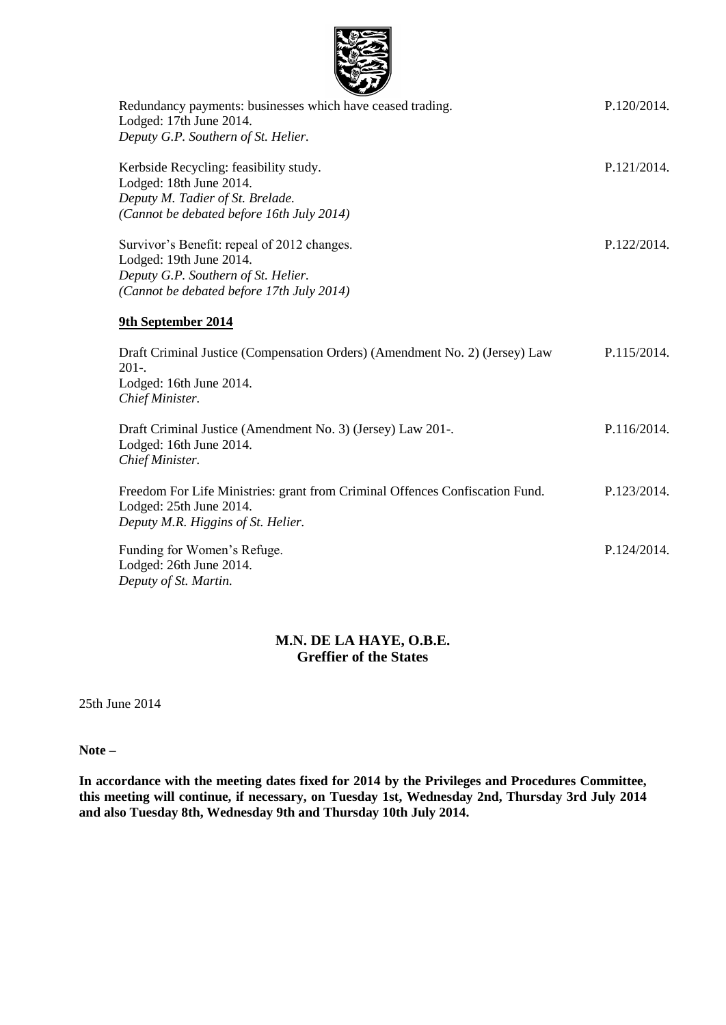| Redundancy payments: businesses which have ceased trading.                                                                                                 |
|------------------------------------------------------------------------------------------------------------------------------------------------------------|
| Lodged: 17th June 2014.                                                                                                                                    |
| Deputy G.P. Southern of St. Helier.                                                                                                                        |
| Kerbside Recycling: feasibility study.<br>Lodged: 18th June 2014.<br>Deputy M. Tadier of St. Brelade.<br>(Cannot be debated before 16th July 2014)         |
| Survivor's Benefit: repeal of 2012 changes.<br>Lodged: 19th June 2014.<br>Deputy G.P. Southern of St. Helier.<br>(Cannot be debated before 17th July 2014) |

P.120/2014.

P.121/2014.

P.122/2014.

P.124/2014.

#### **9th September 2014**

| Draft Criminal Justice (Compensation Orders) (Amendment No. 2) (Jersey) Law<br>$201-.$<br>Lodged: 16th June 2014.<br>Chief Minister.          | P.115/2014. |
|-----------------------------------------------------------------------------------------------------------------------------------------------|-------------|
| Draft Criminal Justice (Amendment No. 3) (Jersey) Law 201-.<br>Lodged: 16th June 2014.<br>Chief Minister.                                     | P.116/2014. |
| Freedom For Life Ministries: grant from Criminal Offences Confiscation Fund.<br>Lodged: 25th June 2014.<br>Deputy M.R. Higgins of St. Helier. | P.123/2014. |

Funding for Women's Refuge. Lodged: 26th June 2014. *Deputy of St. Martin.*

#### **M.N. DE LA HAYE, O.B.E. Greffier of the States**

25th June 2014

**Note –**

**In accordance with the meeting dates fixed for 2014 by the Privileges and Procedures Committee, this meeting will continue, if necessary, on Tuesday 1st, Wednesday 2nd, Thursday 3rd July 2014 and also Tuesday 8th, Wednesday 9th and Thursday 10th July 2014.**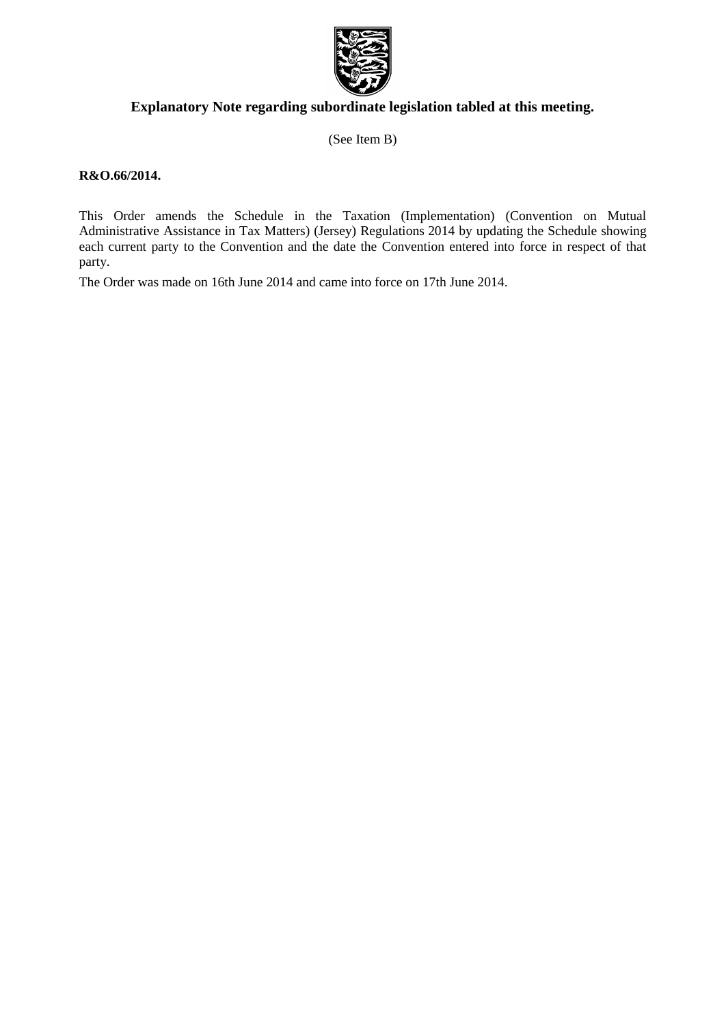

## **Explanatory Note regarding subordinate legislation tabled at this meeting.**

(See Item B)

#### **R&O.66/2014.**

This Order amends the Schedule in the Taxation (Implementation) (Convention on Mutual Administrative Assistance in Tax Matters) (Jersey) Regulations 2014 by updating the Schedule showing each current party to the Convention and the date the Convention entered into force in respect of that party.

The Order was made on 16th June 2014 and came into force on 17th June 2014.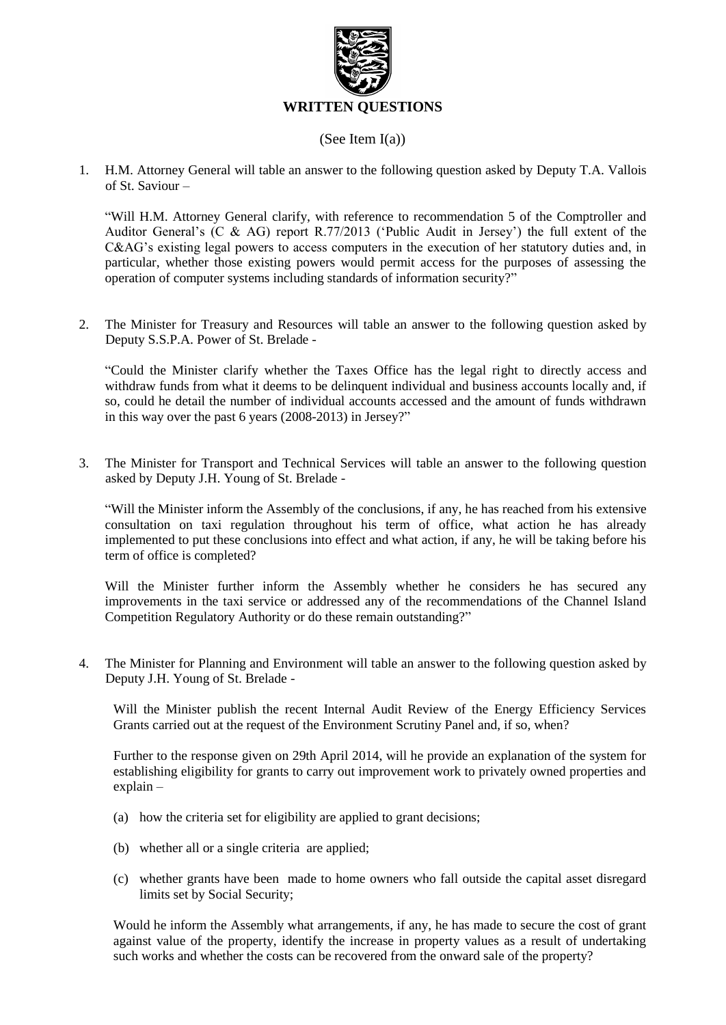

#### (See Item I(a))

1. H.M. Attorney General will table an answer to the following question asked by Deputy T.A. Vallois of St. Saviour –

"Will H.M. Attorney General clarify, with reference to recommendation 5 of the Comptroller and Auditor General's (C & AG) report R.77/2013 ('Public Audit in Jersey') the full extent of the C&AG's existing legal powers to access computers in the execution of her statutory duties and, in particular, whether those existing powers would permit access for the purposes of assessing the operation of computer systems including standards of information security?"

2. The Minister for Treasury and Resources will table an answer to the following question asked by Deputy S.S.P.A. Power of St. Brelade -

"Could the Minister clarify whether the Taxes Office has the legal right to directly access and withdraw funds from what it deems to be delinquent individual and business accounts locally and, if so, could he detail the number of individual accounts accessed and the amount of funds withdrawn in this way over the past 6 years (2008-2013) in Jersey?"

3. The Minister for Transport and Technical Services will table an answer to the following question asked by Deputy J.H. Young of St. Brelade -

"Will the Minister inform the Assembly of the conclusions, if any, he has reached from his extensive consultation on taxi regulation throughout his term of office, what action he has already implemented to put these conclusions into effect and what action, if any, he will be taking before his term of office is completed?

Will the Minister further inform the Assembly whether he considers he has secured any improvements in the taxi service or addressed any of the recommendations of the Channel Island Competition Regulatory Authority or do these remain outstanding?"

4. The Minister for Planning and Environment will table an answer to the following question asked by Deputy J.H. Young of St. Brelade -

Will the Minister publish the recent Internal Audit Review of the Energy Efficiency Services Grants carried out at the request of the Environment Scrutiny Panel and, if so, when?

Further to the response given on 29th April 2014, will he provide an explanation of the system for establishing eligibility for grants to carry out improvement work to privately owned properties and explain –

- (a) how the criteria set for eligibility are applied to grant decisions;
- (b) whether all or a single criteria are applied;
- (c) whether grants have been made to home owners who fall outside the capital asset disregard limits set by Social Security;

Would he inform the Assembly what arrangements, if any, he has made to secure the cost of grant against value of the property, identify the increase in property values as a result of undertaking such works and whether the costs can be recovered from the onward sale of the property?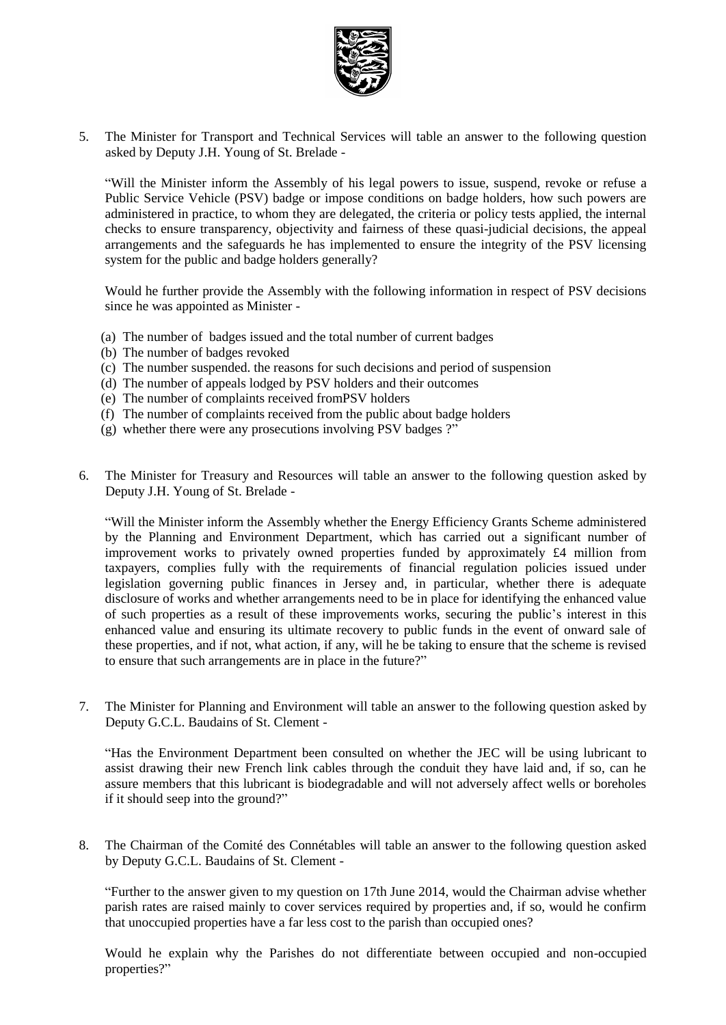

5. The Minister for Transport and Technical Services will table an answer to the following question asked by Deputy J.H. Young of St. Brelade -

"Will the Minister inform the Assembly of his legal powers to issue, suspend, revoke or refuse a Public Service Vehicle (PSV) badge or impose conditions on badge holders, how such powers are administered in practice, to whom they are delegated, the criteria or policy tests applied, the internal checks to ensure transparency, objectivity and fairness of these quasi-judicial decisions, the appeal arrangements and the safeguards he has implemented to ensure the integrity of the PSV licensing system for the public and badge holders generally?

Would he further provide the Assembly with the following information in respect of PSV decisions since he was appointed as Minister -

- (a) The number of badges issued and the total number of current badges
- (b) The number of badges revoked
- (c) The number suspended. the reasons for such decisions and period of suspension
- (d) The number of appeals lodged by PSV holders and their outcomes
- (e) The number of complaints received fromPSV holders
- (f) The number of complaints received from the public about badge holders
- (g) whether there were any prosecutions involving PSV badges ?"
- 6. The Minister for Treasury and Resources will table an answer to the following question asked by Deputy J.H. Young of St. Brelade -

"Will the Minister inform the Assembly whether the Energy Efficiency Grants Scheme administered by the Planning and Environment Department, which has carried out a significant number of improvement works to privately owned properties funded by approximately £4 million from taxpayers, complies fully with the requirements of financial regulation policies issued under legislation governing public finances in Jersey and, in particular, whether there is adequate disclosure of works and whether arrangements need to be in place for identifying the enhanced value of such properties as a result of these improvements works, securing the public's interest in this enhanced value and ensuring its ultimate recovery to public funds in the event of onward sale of these properties, and if not, what action, if any, will he be taking to ensure that the scheme is revised to ensure that such arrangements are in place in the future?"

7. The Minister for Planning and Environment will table an answer to the following question asked by Deputy G.C.L. Baudains of St. Clement -

"Has the Environment Department been consulted on whether the JEC will be using lubricant to assist drawing their new French link cables through the conduit they have laid and, if so, can he assure members that this lubricant is biodegradable and will not adversely affect wells or boreholes if it should seep into the ground?"

8. The Chairman of the Comité des Connétables will table an answer to the following question asked by Deputy G.C.L. Baudains of St. Clement -

"Further to the answer given to my question on 17th June 2014, would the Chairman advise whether parish rates are raised mainly to cover services required by properties and, if so, would he confirm that unoccupied properties have a far less cost to the parish than occupied ones?

Would he explain why the Parishes do not differentiate between occupied and non-occupied properties?"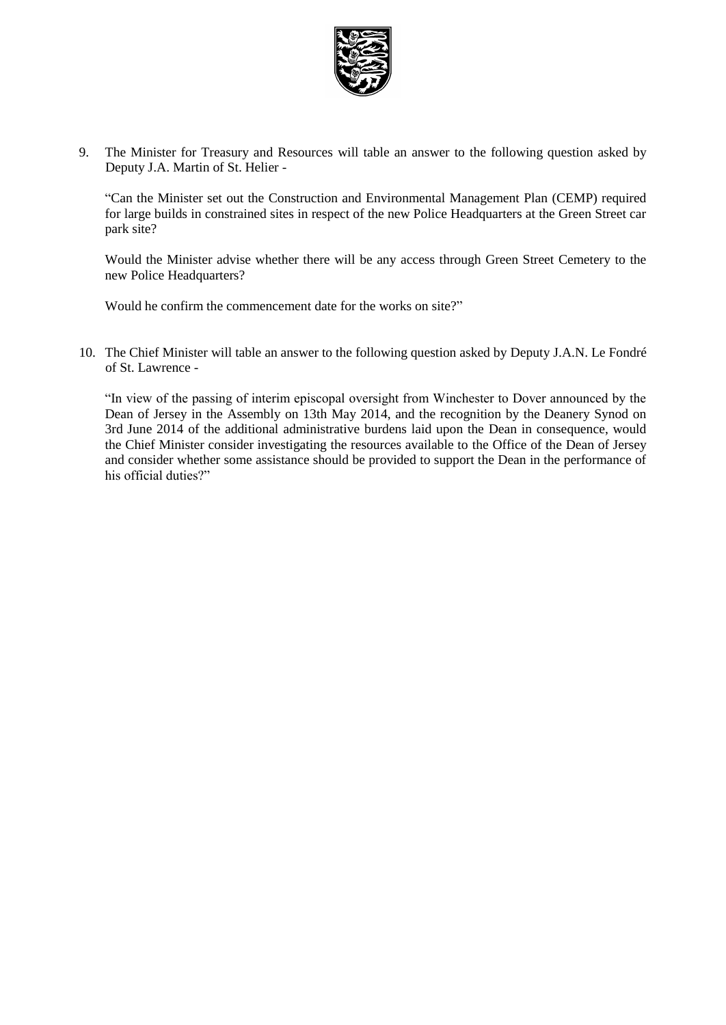

9. The Minister for Treasury and Resources will table an answer to the following question asked by Deputy J.A. Martin of St. Helier -

"Can the Minister set out the Construction and Environmental Management Plan (CEMP) required for large builds in constrained sites in respect of the new Police Headquarters at the Green Street car park site?

Would the Minister advise whether there will be any access through Green Street Cemetery to the new Police Headquarters?

Would he confirm the commencement date for the works on site?"

10. The Chief Minister will table an answer to the following question asked by Deputy J.A.N. Le Fondré of St. Lawrence -

"In view of the passing of interim episcopal oversight from Winchester to Dover announced by the Dean of Jersey in the Assembly on 13th May 2014, and the recognition by the Deanery Synod on 3rd June 2014 of the additional administrative burdens laid upon the Dean in consequence, would the Chief Minister consider investigating the resources available to the Office of the Dean of Jersey and consider whether some assistance should be provided to support the Dean in the performance of his official duties?"